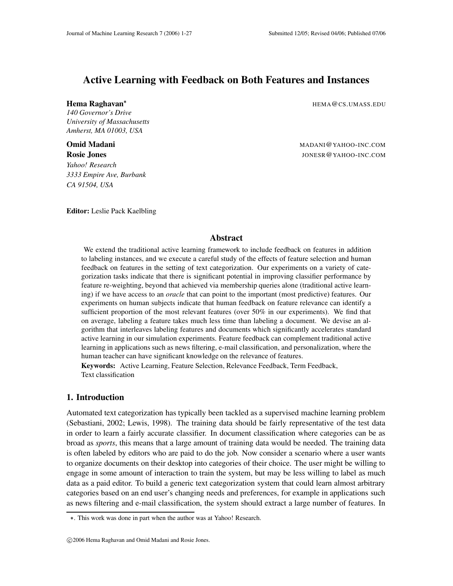# **Active Learning with Feedback on Both Features and Instances**

**Hema Raghavan**

*140 Governor's Drive University of Massachusetts Amherst, MA 01003, USA*

*Yahoo! Research 3333 Empire Ave, Burbank CA 91504, USA*

**Editor:** Leslie Pack Kaelbling

HEMA@CS.UMASS.EDU

**Omid Madani** Material Material Material Material Material Material Material Material Material Material Material Material Material Material Material Material Material Material Material Material Material Material Material M **Rosie Jones** JONESR@YAHOO-INC.COM

## **Abstract**

We extend the traditional active learning framework to include feedback on features in addition to labeling instances, and we execute a careful study of the effects of feature selection and human feedback on features in the setting of text categorization. Our experiments on a variety of categorization tasks indicate that there is significant potential in improving classifier performance by feature re-weighting, beyond that achieved via membership queries alone (traditional active learning) if we have access to an *oracle* that can point to the important (most predictive) features. Our experiments on human subjects indicate that human feedback on feature relevance can identify a sufficient proportion of the most relevant features (over 50% in our experiments). We find that on average, labeling a feature takes much less time than labeling a document. We devise an algorithm that interleaves labeling features and documents which significantly accelerates standard active learning in our simulation experiments. Feature feedback can complement traditional active learning in applications such as news filtering, e-mail classification, and personalization, where the human teacher can have significant knowledge on the relevance of features.

**Keywords:** Active Learning, Feature Selection, Relevance Feedback, Term Feedback, Text classification

## **1. Introduction**

Automated text categorization has typically been tackled as a supervised machine learning problem (Sebastiani, 2002; Lewis, 1998). The training data should be fairly representative of the test data in order to learn a fairly accurate classifier. In document classification where categories can be as broad as *sports*, this means that a large amount of training data would be needed. The training data is often labeled by editors who are paid to do the job. Now consider a scenario where a user wants to organize documents on their desktop into categories of their choice. The user might be willing to engage in some amount of interaction to train the system, but may be less willing to label as much data as a paid editor. To build a generic text categorization system that could learn almost arbitrary categories based on an end user's changing needs and preferences, for example in applications such as news filtering and e-mail classification, the system should extract a large number of features. In

. This work was done in part when the author was at Yahoo! Research.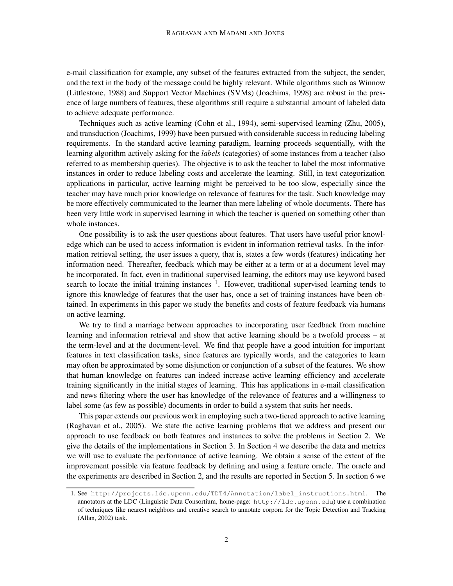e-mail classification for example, any subset of the features extracted from the subject, the sender, and the text in the body of the message could be highly relevant. While algorithms such as Winnow (Littlestone, 1988) and Support Vector Machines (SVMs) (Joachims, 1998) are robust in the presence of large numbers of features, these algorithms still require a substantial amount of labeled data to achieve adequate performance.

Techniques such as active learning (Cohn et al., 1994), semi-supervised learning (Zhu, 2005), and transduction (Joachims, 1999) have been pursued with considerable success in reducing labeling requirements. In the standard active learning paradigm, learning proceeds sequentially, with the learning algorithm actively asking for the *labels* (categories) of some instances from a teacher (also referred to as membership queries). The objective is to ask the teacher to label the most informative instances in order to reduce labeling costs and accelerate the learning. Still, in text categorization applications in particular, active learning might be perceived to be too slow, especially since the teacher may have much prior knowledge on relevance of features for the task. Such knowledge may be more effectively communicated to the learner than mere labeling of whole documents. There has been very little work in supervised learning in which the teacher is queried on something other than whole instances.

One possibility is to ask the user questions about features. That users have useful prior knowledge which can be used to access information is evident in information retrieval tasks. In the information retrieval setting, the user issues a query, that is, states a few words (features) indicating her information need. Thereafter, feedback which may be either at a term or at a document level may be incorporated. In fact, even in traditional supervised learning, the editors may use keyword based search to locate the initial training instances  $<sup>1</sup>$ . However, traditional supervised learning tends to</sup> ignore this knowledge of features that the user has, once a set of training instances have been obtained. In experiments in this paper we study the benefits and costs of feature feedback via humans on active learning.

We try to find a marriage between approaches to incorporating user feedback from machine learning and information retrieval and show that active learning should be a twofold process – at the term-level and at the document-level. We find that people have a good intuition for important features in text classification tasks, since features are typically words, and the categories to learn may often be approximated by some disjunction or conjunction of a subset of the features. We show that human knowledge on features can indeed increase active learning efficiency and accelerate training significantly in the initial stages of learning. This has applications in e-mail classification and news filtering where the user has knowledge of the relevance of features and a willingness to label some (as few as possible) documents in order to build a system that suits her needs.

This paper extends our previous work in employing such a two-tiered approach to active learning (Raghavan et al., 2005). We state the active learning problems that we address and present our approach to use feedback on both features and instances to solve the problems in Section 2. We give the details of the implementations in Section 3. In Section 4 we describe the data and metrics we will use to evaluate the performance of active learning. We obtain a sense of the extent of the improvement possible via feature feedback by defining and using a feature oracle. The oracle and the experiments are described in Section 2, and the results are reported in Section 5. In section 6 we

<sup>1.</sup> See http://projects.ldc.upenn.edu/TDT4/Annotation/label\_instructions.html. The annotators at the LDC (Linguistic Data Consortium, home-page: http://ldc.upenn.edu) use a combination of techniques like nearest neighbors and creative search to annotate corpora for the Topic Detection and Tracking (Allan, 2002) task.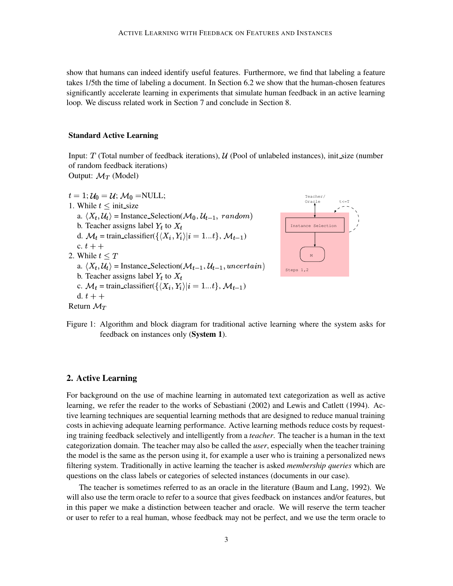show that humans can indeed identify useful features. Furthermore, we find that labeling a feature takes 1/5th the time of labeling a document. In Section 6.2 we show that the human-chosen features significantly accelerate learning in experiments that simulate human feedback in an active learning loop. We discuss related work in Section 7 and conclude in Section 8.

### **Standard Active Learning**

Input:  $T$  (Total number of feedback iterations),  $U$  (Pool of unlabeled instances), init size (number of random feedback iterations) Output:  $\mathcal{M}_T$  (Model)

```
t=1; \mathcal{U}_0=\mathcal{U}; \, \mathcal{M}_0 = \text{NULL};1. While t \leq \text{init\_size}a. \langle X_t, \mathcal{U}_t \rangle = Instance_Selection(\mathcal{M}_0, \mathcal{U}_{t-1}, random)
b. Teacher assigns label Y_t to X_td. \mathcal{M}_t = train_classifier({\langle X_i, Y_i \rangle | i = 1...t}, \mathcal{M}_{t-1})
c. t + +2. While t \leq Ta. \langle X_t, \mathcal{U}_t \rangle = Instance_Selection(\mathcal{M}_{t-1}, \mathcal{U}_{t-1}, uncertain)
b. Teacher assigns label Y_t to X_tc. \mathcal{M}_t = train_classifier(\{\langle X_i, Y_i \rangle | i = 1...t\}, \mathcal{M}_{t-1})
d. t +Return \mathcal{M}_{\tau}
```


Figure 1: Algorithm and block diagram for traditional active learning where the system asks for feedback on instances only (**System 1**).

## **2. Active Learning**

For background on the use of machine learning in automated text categorization as well as active learning, we refer the reader to the works of Sebastiani (2002) and Lewis and Catlett (1994). Active learning techniques are sequential learning methods that are designed to reduce manual training costs in achieving adequate learning performance. Active learning methods reduce costs by requesting training feedback selectively and intelligently from a *teacher*. The teacher is a human in the text categorization domain. The teacher may also be called the *user*, especially when the teacher training the model is the same as the person using it, for example a user who is training a personalized news filtering system. Traditionally in active learning the teacher is asked *membership queries* which are questions on the class labels or categories of selected instances (documents in our case).

The teacher is sometimes referred to as an oracle in the literature (Baum and Lang, 1992). We will also use the term oracle to refer to a source that gives feedback on instances and/or features, but in this paper we make a distinction between teacher and oracle. We will reserve the term teacher or user to refer to a real human, whose feedback may not be perfect, and we use the term oracle to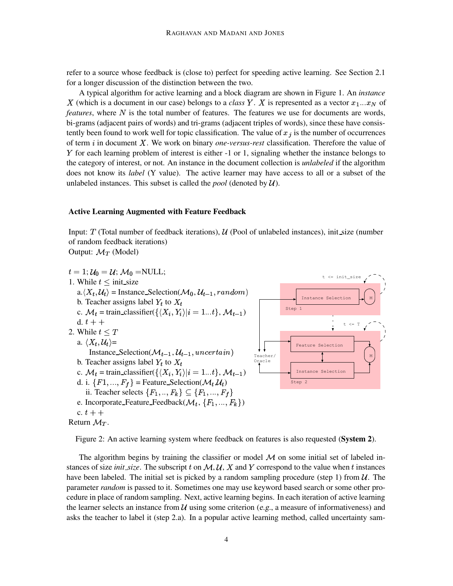refer to a source whose feedback is (close to) perfect for speeding active learning. See Section 2.1 for a longer discussion of the distinction between the two.

A typical algorithm for active learning and a block diagram are shown in Figure 1. An *instance* X (which is a document in our case) belongs to a *class* Y. X is represented as a vector  $x_1...x_N$  of *features*, where N is the total number of features. The features we use for documents are words, bi-grams (adjacent pairs of words) and tri-grams (adjacent triples of words), since these have consistently been found to work well for topic classification. The value of  $x_j$  is the number of occurrences of term  $i$  in document  $X$ . We work on binary *one-versus-rest* classification. Therefore the value of  $Y$  for each learning problem of interest is either  $-1$  or 1, signaling whether the instance belongs to the category of interest, or not. An instance in the document collection is *unlabeled* if the algorithm does not know its *label* (Y value). The active learner may have access to all or a subset of the unlabeled instances. This subset is called the *pool* (denoted by  $U$ ).

#### **Active Learning Augmented with Feature Feedback**

Input:  $T$  (Total number of feedback iterations),  $\mathcal{U}$  (Pool of unlabeled instances), init size (number of random feedback iterations)

Output:  $\mathcal{M}_T$  (Model)



```
Return \mathcal{M}_T.
```
Figure 2: An active learning system where feedback on features is also requested (**System 2**).

The algorithm begins by training the classifier or model  $M$  on some initial set of labeled instances of size *init\_size*. The subscript t on  $M, U, X$  and Y correspond to the value when t instances have been labeled. The initial set is picked by a random sampling procedure (step 1) from  $\mathcal{U}$ . The parameter *random* is passed to it. Sometimes one may use keyword based search or some other procedure in place of random sampling. Next, active learning begins. In each iteration of active learning the learner selects an instance from  $U$  using some criterion (e.g., a measure of informativeness) and asks the teacher to label it (step 2.a). In a popular active learning method, called uncertainty sam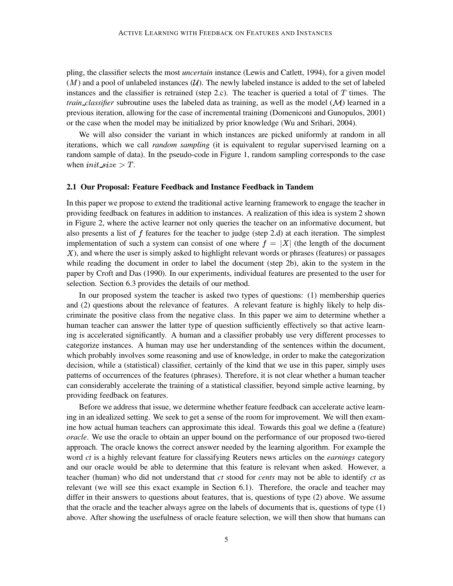pling, the classifier selects the most *uncertain* instance (Lewis and Catlett, 1994), for a given model  $(M)$  and a pool of unlabeled instances  $(U)$ . The newly labeled instance is added to the set of labeled instances and the classifier is retrained (step 2.c). The teacher is queried a total of  $T$  times. The *train\_classifier* subroutine uses the labeled data as training, as well as the model  $(\mathcal{M})$  learned in a previous iteration, allowing for the case of incremental training (Domeniconi and Gunopulos, 2001) or the case when the model may be initialized by prior knowledge (Wu and Srihari, 2004).

We will also consider the variant in which instances are picked uniformly at random in all iterations, which we call *random sampling* (it is equivalent to regular supervised learning on a random sample of data). In the pseudo-code in Figure 1, random sampling corresponds to the case when  $init\_size > T$ .

#### **2.1 Our Proposal: Feature Feedback and Instance Feedback in Tandem**

In this paper we propose to extend the traditional active learning framework to engage the teacher in providing feedback on features in addition to instances. A realization of this idea is system 2 shown in Figure 2, where the active learner not only queries the teacher on an informative document, but also presents a list of  $f$  features for the teacher to judge (step 2.d) at each iteration. The simplest implementation of such a system can consist of one where  $f = |X|$  (the length of the document  $X$ ), and where the user is simply asked to highlight relevant words or phrases (features) or passages while reading the document in order to label the document (step 2b), akin to the system in the paper by Croft and Das (1990). In our experiments, individual features are presented to the user for selection. Section 6.3 provides the details of our method.

In our proposed system the teacher is asked two types of questions: (1) membership queries and (2) questions about the relevance of features. A relevant feature is highly likely to help discriminate the positive class from the negative class. In this paper we aim to determine whether a human teacher can answer the latter type of question sufficiently effectively so that active learning is accelerated significantly. A human and a classifier probably use very different processes to categorize instances. A human may use her understanding of the sentences within the document, which probably involves some reasoning and use of knowledge, in order to make the categorization decision, while a (statistical) classifier, certainly of the kind that we use in this paper, simply uses patterns of occurrences of the features (phrases). Therefore, it is not clear whether a human teacher can considerably accelerate the training of a statistical classifier, beyond simple active learning, by providing feedback on features.

Before we address that issue, we determine whether feature feedback can accelerate active learning in an idealized setting. We seek to get a sense of the room for improvement. We will then examine how actual human teachers can approximate this ideal. Towards this goal we define a (feature) *oracle*. We use the oracle to obtain an upper bound on the performance of our proposed two-tiered approach. The oracle knows the correct answer needed by the learning algorithm. For example the word *ct* is a highly relevant feature for classifying Reuters news articles on the *earnings* category and our oracle would be able to determine that this feature is relevant when asked. However, a teacher (human) who did not understand that *ct* stood for *cents* may not be able to identify *ct* as relevant (we will see this exact example in Section 6.1). Therefore, the oracle and teacher may differ in their answers to questions about features, that is, questions of type (2) above. We assume that the oracle and the teacher always agree on the labels of documents that is, questions of type (1) above. After showing the usefulness of oracle feature selection, we will then show that humans can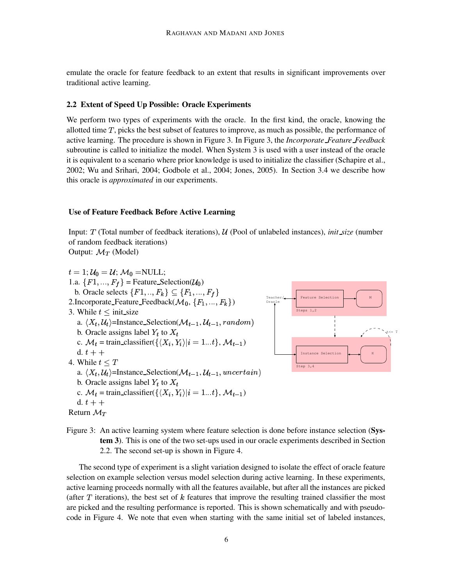emulate the oracle for feature feedback to an extent that results in significant improvements over traditional active learning.

#### **2.2 Extent of Speed Up Possible: Oracle Experiments**

We perform two types of experiments with the oracle. In the first kind, the oracle, knowing the allotted time  $T$ , picks the best subset of features to improve, as much as possible, the performance of active learning. The procedure is shown in Figure 3. In Figure 3, the *Incorporate Feature Feedback* subroutine is called to initialize the model. When System 3 is used with a user instead of the oracle it is equivalent to a scenario where prior knowledge is used to initialize the classifier (Schapire et al., 2002; Wu and Srihari, 2004; Godbole et al., 2004; Jones, 2005). In Section 3.4 we describe how this oracle is *approximated* in our experiments.

#### **Use of Feature Feedback Before Active Learning**

Input: (Total number of feedback iterations), (Pool of unlabeled instances), *init size* (number of random feedback iterations) Output:  $\mathcal{M}_T$  (Model)

 $t=1; \mathcal{U}_0=\mathcal{U}; \mathcal{M}_0=\text{NULL};$ 1.a.  $\{F1, ..., F_f\}$  = Feature Selection( $\mathcal{U}_0$ ) b. Oracle selects  $\{F1, ..., F_k\} \subseteq \{F_1, ..., F_f\}$ 2. Incorporate Feature Feedback $(\mathcal{M}_0, \{F_1, ..., F_k\})$ 3. While  $t \leq \text{init\_size}$ a.  $\langle X_t, \mathcal{U}_t \rangle$ =Instance\_Selection( $\mathcal{M}_{t-1}, \mathcal{U}_{t-1}, random$ ) b. Oracle assigns label  $Y_t$  to  $X_t$ c.  $\mathcal{M}_t$  = train\_classifier({ $\langle X_i, Y_i \rangle | i = 1...t \rangle$ ,  $\mathcal{M}_{t-1}$ ) d.  $t +$ 4. While  $t \leq T$ a.  $\langle X_t, \mathcal{U}_t \rangle$ =Instance\_Selection( $\mathcal{M}_{t-1}, \mathcal{U}_{t-1}$ , uncertain) b. Oracle assigns label  $Y_t$  to  $X_t$ c.  $\mathcal{M}_t$  = train\_classifier({ $\langle X_i, Y_i \rangle | i = 1...t$ },  $\mathcal{M}_{t-1}$ ) d.  $t + +$ Return  $\mathcal{M}_T$ Teacher/ Oracle Steps 1,2 Step 3,4



Figure 3: An active learning system where feature selection is done before instance selection (**System 3**). This is one of the two set-ups used in our oracle experiments described in Section 2.2. The second set-up is shown in Figure 4.

The second type of experiment is a slight variation designed to isolate the effect of oracle feature selection on example selection versus model selection during active learning. In these experiments, active learning proceeds normally with all the features available, but after all the instances are picked (after  $T$  iterations), the best set of  $k$  features that improve the resulting trained classifier the most are picked and the resulting performance is reported. This is shown schematically and with pseudocode in Figure 4. We note that even when starting with the same initial set of labeled instances,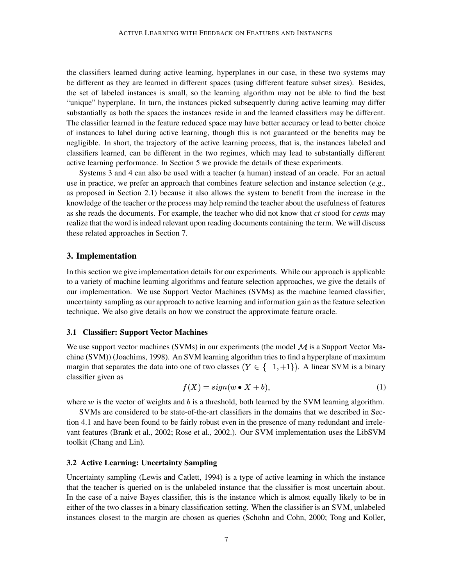the classifiers learned during active learning, hyperplanes in our case, in these two systems may be different as they are learned in different spaces (using different feature subset sizes). Besides, the set of labeled instances is small, so the learning algorithm may not be able to find the best "unique" hyperplane. In turn, the instances picked subsequently during active learning may differ substantially as both the spaces the instances reside in and the learned classifiers may be different. The classifier learned in the feature reduced space may have better accuracy or lead to better choice of instances to label during active learning, though this is not guaranteed or the benefits may be negligible. In short, the trajectory of the active learning process, that is, the instances labeled and classifiers learned, can be different in the two regimes, which may lead to substantially different active learning performance. In Section 5 we provide the details of these experiments.

Systems 3 and 4 can also be used with a teacher (a human) instead of an oracle. For an actual use in practice, we prefer an approach that combines feature selection and instance selection (e.g., as proposed in Section 2.1) because it also allows the system to benefit from the increase in the knowledge of the teacher or the process may help remind the teacher about the usefulness of features as she reads the documents. For example, the teacher who did not know that *ct* stood for *cents* may realize that the word is indeed relevant upon reading documents containing the term. We will discuss these related approaches in Section 7.

## **3. Implementation**

In this section we give implementation details for our experiments. While our approach is applicable to a variety of machine learning algorithms and feature selection approaches, we give the details of our implementation. We use Support Vector Machines (SVMs) as the machine learned classifier, uncertainty sampling as our approach to active learning and information gain as the feature selection technique. We also give details on how we construct the approximate feature oracle.

#### **3.1 Classifier: Support Vector Machines**

We use support vector machines (SVMs) in our experiments (the model  $\mathcal M$  is a Support Vector Machine (SVM)) (Joachims, 1998). An SVM learning algorithm tries to find a hyperplane of maximum margin that separates the data into one of two classes  $(Y \in \{-1,+1\})$ . A linear SVM is a binary classifier given as

$$
f(X) = sign(w \bullet X + b),\tag{1}
$$

where  $w$  is the vector of weights and  $b$  is a threshold, both learned by the SVM learning algorithm.

SVMs are considered to be state-of-the-art classifiers in the domains that we described in Section 4.1 and have been found to be fairly robust even in the presence of many redundant and irrelevant features (Brank et al., 2002; Rose et al., 2002.). Our SVM implementation uses the LibSVM toolkit (Chang and Lin).

### **3.2 Active Learning: Uncertainty Sampling**

Uncertainty sampling (Lewis and Catlett, 1994) is a type of active learning in which the instance that the teacher is queried on is the unlabeled instance that the classifier is most uncertain about. In the case of a naive Bayes classifier, this is the instance which is almost equally likely to be in either of the two classes in a binary classification setting. When the classifier is an SVM, unlabeled instances closest to the margin are chosen as queries (Schohn and Cohn, 2000; Tong and Koller,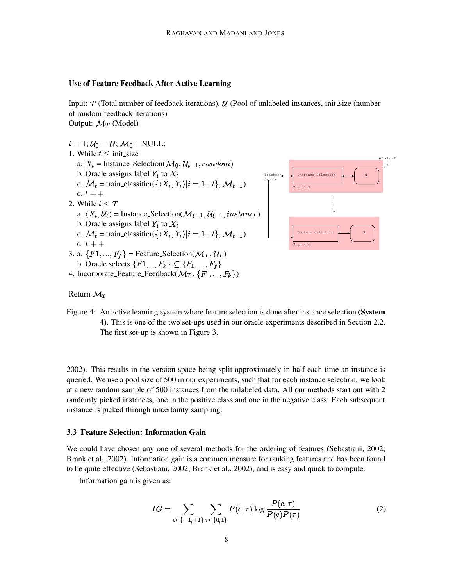#### **Use of Feature Feedback After Active Learning**

Input:  $T$  (Total number of feedback iterations),  $U$  (Pool of unlabeled instances, init size (number of random feedback iterations) Output:  $\mathcal{M}_T$  (Model)

 $t=1; \mathcal{U}_0=\mathcal{U}; \mathcal{M}_0=\text{NULL};$ 1. While  $t \leq \text{init\_size}$ a.  $X_t$  = Instance\_Selection( $\mathcal{M}_0$ ,  $\mathcal{U}_{t-1}$ , random) b. Oracle assigns label  $Y_t$  to  $X_t$ c.  $\mathcal{M}_t$  = train\_classifier({ $\langle X_i, Y_i \rangle | i = 1...t$ },  $\mathcal{M}_{t-1}$ ) c.  $t + +$ 2. While  $t \leq T$ a.  $\langle X_t, \mathcal{U}_t \rangle$  = Instance\_Selection( $\mathcal{M}_{t-1}, \mathcal{U}_{t-1}$ , instance) b. Oracle assigns label  $Y_t$  to  $X_t$ c.  $\mathcal{M}_t$  = train\_classifier({ $\langle X_i, Y_i \rangle | i = 1...t$ },  $\mathcal{M}_{t-1}$ ) d.  $t +$ 3. a.  $\{F1, ..., F_f\}$  = Feature Selection( $\mathcal{M}_T, \mathcal{U}_T$ ) b. Oracle selects  $\{F1, ..., F_k\} \subseteq \{F_1, ..., F_f\}$ Oracle





Return  $\mathcal{M}_T$ 

Figure 4: An active learning system where feature selection is done after instance selection (**System 4**). This is one of the two set-ups used in our oracle experiments described in Section 2.2. The first set-up is shown in Figure 3.

2002). This results in the version space being split approximately in half each time an instance is queried. We use a pool size of 500 in our experiments, such that for each instance selection, we look at a new random sample of 500 instances from the unlabeled data. All our methods start out with 2 randomly picked instances, one in the positive class and one in the negative class. Each subsequent instance is picked through uncertainty sampling.

#### **3.3 Feature Selection: Information Gain**

We could have chosen any one of several methods for the ordering of features (Sebastiani, 2002; Brank et al., 2002). Information gain is a common measure for ranking features and has been found to be quite effective (Sebastiani, 2002; Brank et al., 2002), and is easy and quick to compute.

Information gain is given as:

$$
IG = \sum_{c \in \{-1, +1\}} \sum_{\tau \in \{0, 1\}} P(c, \tau) \log \frac{P(c, \tau)}{P(c)P(\tau)}
$$
(2)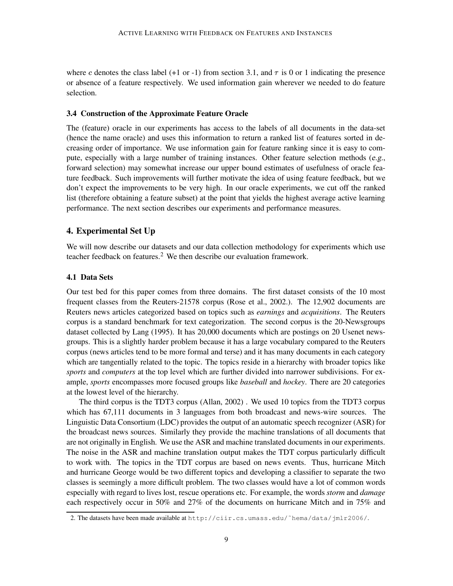where c denotes the class label (+1 or -1) from section 3.1, and  $\tau$  is 0 or 1 indicating the presence or absence of a feature respectively. We used information gain wherever we needed to do feature selection.

#### **3.4 Construction of the Approximate Feature Oracle**

The (feature) oracle in our experiments has access to the labels of all documents in the data-set (hence the name oracle) and uses this information to return a ranked list of features sorted in decreasing order of importance. We use information gain for feature ranking since it is easy to compute, especially with a large number of training instances. Other feature selection methods (e.g., forward selection) may somewhat increase our upper bound estimates of usefulness of oracle feature feedback. Such improvements will further motivate the idea of using feature feedback, but we don't expect the improvements to be very high. In our oracle experiments, we cut off the ranked list (therefore obtaining a feature subset) at the point that yields the highest average active learning performance. The next section describes our experiments and performance measures.

### **4. Experimental Set Up**

We will now describe our datasets and our data collection methodology for experiments which use teacher feedback on features.<sup>2</sup> We then describe our evaluation framework.

#### **4.1 Data Sets**

Our test bed for this paper comes from three domains. The first dataset consists of the 10 most frequent classes from the Reuters-21578 corpus (Rose et al., 2002.). The 12,902 documents are Reuters news articles categorized based on topics such as *earnings* and *acquisitions*. The Reuters corpus is a standard benchmark for text categorization. The second corpus is the 20-Newsgroups dataset collected by Lang (1995). It has 20,000 documents which are postings on 20 Usenet newsgroups. This is a slightly harder problem because it has a large vocabulary compared to the Reuters corpus (news articles tend to be more formal and terse) and it has many documents in each category which are tangentially related to the topic. The topics reside in a hierarchy with broader topics like *sports* and *computers* at the top level which are further divided into narrower subdivisions. For example, *sports* encompasses more focused groups like *baseball* and *hockey*. There are 20 categories at the lowest level of the hierarchy.

The third corpus is the TDT3 corpus (Allan, 2002) . We used 10 topics from the TDT3 corpus which has 67,111 documents in 3 languages from both broadcast and news-wire sources. The Linguistic Data Consortium (LDC) provides the output of an automatic speech recognizer (ASR) for the broadcast news sources. Similarly they provide the machine translations of all documents that are not originally in English. We use the ASR and machine translated documents in our experiments. The noise in the ASR and machine translation output makes the TDT corpus particularly difficult to work with. The topics in the TDT corpus are based on news events. Thus, hurricane Mitch and hurricane George would be two different topics and developing a classifier to separate the two classes is seemingly a more difficult problem. The two classes would have a lot of common words especially with regard to lives lost, rescue operations etc. For example, the words *storm* and *damage* each respectively occur in 50% and 27% of the documents on hurricane Mitch and in 75% and

<sup>2.</sup> The datasets have been made available at http://ciir.cs.umass.edu/˜hema/data/jmlr2006/.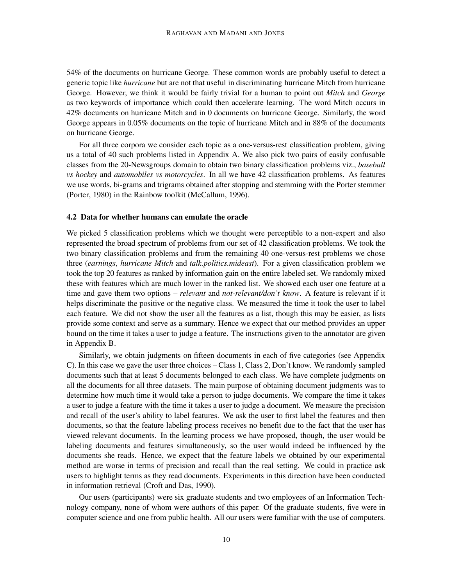54% of the documents on hurricane George. These common words are probably useful to detect a generic topic like *hurricane* but are not that useful in discriminating hurricane Mitch from hurricane George. However, we think it would be fairly trivial for a human to point out *Mitch* and *George* as two keywords of importance which could then accelerate learning. The word Mitch occurs in 42% documents on hurricane Mitch and in 0 documents on hurricane George. Similarly, the word George appears in 0.05% documents on the topic of hurricane Mitch and in 88% of the documents on hurricane George.

For all three corpora we consider each topic as a one-versus-rest classification problem, giving us a total of 40 such problems listed in Appendix A. We also pick two pairs of easily confusable classes from the 20-Newsgroups domain to obtain two binary classification problems viz., *baseball vs hockey* and *automobiles vs motorcycles*. In all we have 42 classification problems. As features we use words, bi-grams and trigrams obtained after stopping and stemming with the Porter stemmer (Porter, 1980) in the Rainbow toolkit (McCallum, 1996).

#### **4.2 Data for whether humans can emulate the oracle**

We picked 5 classification problems which we thought were perceptible to a non-expert and also represented the broad spectrum of problems from our set of 42 classification problems. We took the two binary classification problems and from the remaining 40 one-versus-rest problems we chose three (*earnings*, *hurricane Mitch* and *talk.politics.mideast*). For a given classification problem we took the top 20 features as ranked by information gain on the entire labeled set. We randomly mixed these with features which are much lower in the ranked list. We showed each user one feature at a time and gave them two options – *relevant* and *not-relevant/don't know*. A feature is relevant if it helps discriminate the positive or the negative class. We measured the time it took the user to label each feature. We did not show the user all the features as a list, though this may be easier, as lists provide some context and serve as a summary. Hence we expect that our method provides an upper bound on the time it takes a user to judge a feature. The instructions given to the annotator are given in Appendix B.

Similarly, we obtain judgments on fifteen documents in each of five categories (see Appendix C). In this case we gave the user three choices – Class 1, Class 2, Don't know. We randomly sampled documents such that at least 5 documents belonged to each class. We have complete judgments on all the documents for all three datasets. The main purpose of obtaining document judgments was to determine how much time it would take a person to judge documents. We compare the time it takes a user to judge a feature with the time it takes a user to judge a document. We measure the precision and recall of the user's ability to label features. We ask the user to first label the features and then documents, so that the feature labeling process receives no benefit due to the fact that the user has viewed relevant documents. In the learning process we have proposed, though, the user would be labeling documents and features simultaneously, so the user would indeed be influenced by the documents she reads. Hence, we expect that the feature labels we obtained by our experimental method are worse in terms of precision and recall than the real setting. We could in practice ask users to highlight terms as they read documents. Experiments in this direction have been conducted in information retrieval (Croft and Das, 1990).

Our users (participants) were six graduate students and two employees of an Information Technology company, none of whom were authors of this paper. Of the graduate students, five were in computer science and one from public health. All our users were familiar with the use of computers.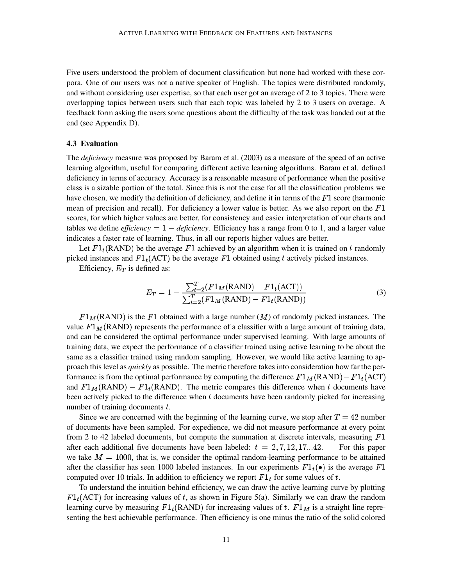Five users understood the problem of document classification but none had worked with these corpora. One of our users was not a native speaker of English. The topics were distributed randomly, and without considering user expertise, so that each user got an average of 2 to 3 topics. There were overlapping topics between users such that each topic was labeled by 2 to 3 users on average. A feedback form asking the users some questions about the difficulty of the task was handed out at the end (see Appendix D).

#### **4.3 Evaluation**

The *deficiency* measure was proposed by Baram et al. (2003) as a measure of the speed of an active learning algorithm, useful for comparing different active learning algorithms. Baram et al. defined deficiency in terms of accuracy. Accuracy is a reasonable measure of performance when the positive class is a sizable portion of the total. Since this is not the case for all the classification problems we have chosen, we modify the definition of deficiency, and define it in terms of the  $F1$  score (harmonic mean of precision and recall). For deficiency a lower value is better. As we also report on the  $F1$ scores, for which higher values are better, for consistency and easier interpretation of our charts and tables we define *efficiency* =  $1 - \text{deficiency}$ . Efficiency has a range from 0 to 1, and a larger value indicates a faster rate of learning. Thus, in all our reports higher values are better.

Let  $F1_t(RAND)$  be the average F1 achieved by an algorithm when it is trained on t randomly picked instances and  $F1_t(ACT)$  be the average  $F1$  obtained using t actively picked instances.

Efficiency,  $E_T$  is defined as:

$$
E_T = 1 - \frac{\sum_{t=2}^{T} (F1_M(\text{RAND}) - F1_t(\text{ACT}))}{\sum_{t=2}^{T} (F1_M(\text{RAND}) - F1_t(\text{RAND}))}
$$
(3)

 $F1_M(RAND)$  is the F1 obtained with a large number  $(M)$  of randomly picked instances. The value  $F1_M(RAND)$  represents the performance of a classifier with a large amount of training data, and can be considered the optimal performance under supervised learning. With large amounts of training data, we expect the performance of a classifier trained using active learning to be about the same as a classifier trained using random sampling. However, we would like active learning to approach this level as *quickly* as possible. The metric therefore takes into consideration how far the performance is from the optimal performance by computing the difference  $F1_M(RAND) - F1_t(ACT)$ and  $F1_M(RAND) - F1_t(RAND)$ . The metric compares this difference when t documents have been actively picked to the difference when  $t$  documents have been randomly picked for increasing number of training documents  $t$ .

Since we are concerned with the beginning of the learning curve, we stop after  $T = 42$  number of documents have been sampled. For expedience, we did not measure performance at every point from 2 to 42 labeled documents, but compute the summation at discrete intervals, measuring  $F1$ after each additional five documents have been labeled:  $t = 2, 7, 12, 17...42$ . For . For this paper we take  $M = 1000$ , that is, we consider the optimal random-learning performance to be attained after the classifier has seen 1000 labeled instances. In our experiments  $F1_t(\bullet)$  is the average  $F1$ computed over 10 trials. In addition to efficiency we report  $F1_t$  for some values of t.

To understand the intuition behind efficiency, we can draw the active learning curve by plotting  $F1_t(ACT)$  for increasing values of t, as shown in Figure 5(a). Similarly we can draw the random learning curve by measuring  $F1_t(RAND)$  for increasing values of t.  $F1_M$  is a straight line representing the best achievable performance. Then efficiency is one minus the ratio of the solid colored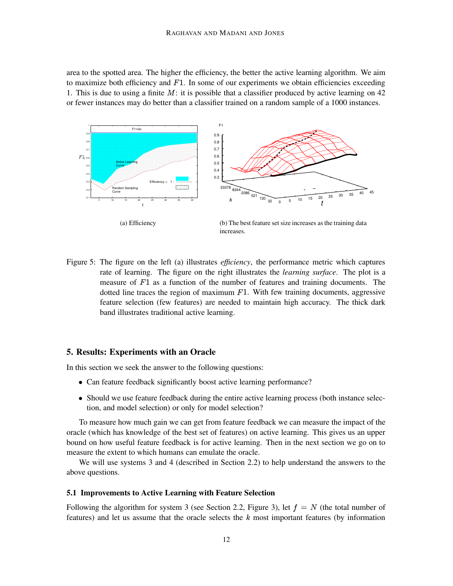area to the spotted area. The higher the efficiency, the better the active learning algorithm. We aim to maximize both efficiency and  $F1$ . In some of our experiments we obtain efficiencies exceeding 1. This is due to using a finite  $M$ : it is possible that a classifier produced by active learning on 42 or fewer instances may do better than a classifier trained on a random sample of a 1000 instances.



Figure 5: The figure on the left (a) illustrates *efficiency*, the performance metric which captures rate of learning. The figure on the right illustrates the *learning surface*. The plot is a measure of  $F1$  as a function of the number of features and training documents. The dotted line traces the region of maximum  $F1$ . With few training documents, aggressive feature selection (few features) are needed to maintain high accuracy. The thick dark band illustrates traditional active learning.

#### **5. Results: Experiments with an Oracle**

In this section we seek the answer to the following questions:

- Can feature feedback significantly boost active learning performance?
- Should we use feature feedback during the entire active learning process (both instance selection, and model selection) or only for model selection?

To measure how much gain we can get from feature feedback we can measure the impact of the oracle (which has knowledge of the best set of features) on active learning. This gives us an upper bound on how useful feature feedback is for active learning. Then in the next section we go on to measure the extent to which humans can emulate the oracle.

We will use systems 3 and 4 (described in Section 2.2) to help understand the answers to the above questions.

### **5.1 Improvements to Active Learning with Feature Selection**

Following the algorithm for system 3 (see Section 2.2, Figure 3), let  $f = N$  (the total number of features) and let us assume that the oracle selects the  $k$  most important features (by information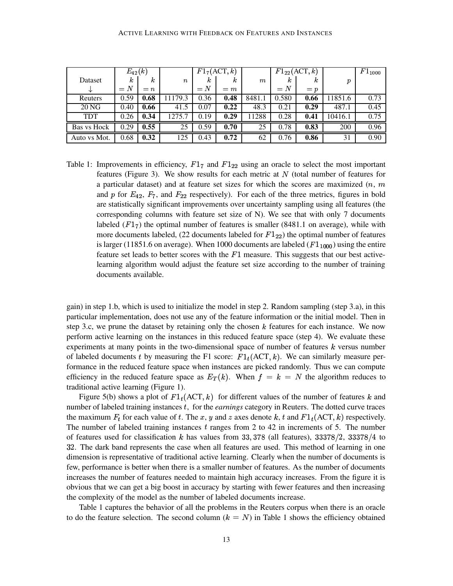|                    | $E_{42}(k)$ |       |                  |       | $F1_7(ACT, k)$ |         |          | $F1_{22}(\text{ACT}, k)$ |               | $F1_{1000}$ |
|--------------------|-------------|-------|------------------|-------|----------------|---------|----------|--------------------------|---------------|-------------|
| Dataset            | κ           | k     | $\boldsymbol{n}$ | k     | κ              | $\it m$ | $\kappa$ | κ                        | $\mathcal{D}$ |             |
| ◡                  | $= N$       | $= n$ |                  | $= N$ | $=$ m          |         | $= N$    | $= p$                    |               |             |
| Reuters            | 0.59        | 0.68  | 1179.3           | 0.36  | 0.48           | 8481.1  | 0.580    | 0.66                     | 11851.6       | 0.73        |
| 20 NG              | 0.40        | 0.66  | 41.5             | 0.07  | 0.22           | 48.3    | 0.21     | 0.29                     | 487.1         | 0.45        |
| <b>TDT</b>         | 0.26        | 0.34  | 1275.7           | 0.19  | 0.29           | 11288   | 0.28     | 0.41                     | 10416.1       | 0.75        |
| <b>Bas vs Hock</b> | 0.29        | 0.55  | 25               | 0.59  | 0.70           | 25      | 0.78     | 0.83                     | 200           | 0.96        |
| Auto vs Mot.       | 0.68        | 0.32  | 125              | 0.43  | 0.72           | 62      | 0.76     | 0.86                     | 31            | 0.90        |

Table 1: Improvements in efficiency,  $F1_7$  and  $F1_{22}$  using an oracle to select the most important features (Figure 3). We show results for each metric at  $N$  (total number of features for a particular dataset) and at feature set sizes for which the scores are maximized  $(n, m)$ and p for  $E_{42}$ ,  $F_7$ , and  $F_{22}$  respectively). For each of the three metrics, figures in bold are statistically significant improvements over uncertainty sampling using all features (the corresponding columns with feature set size of N). We see that with only 7 documents labeled  $(F1<sub>7</sub>)$  the optimal number of features is smaller (8481.1 on average), while with more documents labeled, (22 documents labeled for  $F1_{22}$ ) the optimal number of features is larger (11851.6 on average). When 1000 documents are labeled  $(F1_{1000})$  using the entire feature set leads to better scores with the  $F1$  measure. This suggests that our best activelearning algorithm would adjust the feature set size according to the number of training documents available.

gain) in step 1.b, which is used to initialize the model in step 2. Random sampling (step 3.a), in this particular implementation, does not use any of the feature information or the initial model. Then in step 3.c, we prune the dataset by retaining only the chosen  $k$  features for each instance. We now perform active learning on the instances in this reduced feature space (step 4). We evaluate these experiments at many points in the two-dimensional space of number of features  $k$  versus number of labeled documents t by measuring the F1 score:  $F1_t(ACT, k)$ . We can similarly measure performance in the reduced feature space when instances are picked randomly. Thus we can compute efficiency in the reduced feature space as  $E_T(k)$ . When  $f = k = N$  the algorithm reduces to traditional active learning (Figure 1).

Figure 5(b) shows a plot of  $F1_t(ACT, k)$  for different values of the number of features k and number of labeled training instances , for the *earnings* category in Reuters. The dotted curve traces the maximum  $F_t$  for each value of t. The x, y and z axes denote k, t and  $F1_t(ACT, k)$  respectively. The number of labeled training instances  $t$  ranges from 2 to 42 in increments of 5. The number of features used for classification k has values from 33, 378 (all features),  $33378/2$ ,  $33378/4$  to 32. The dark band represents the case when all features are used. This method of learning in one dimension is representative of traditional active learning. Clearly when the number of documents is few, performance is better when there is a smaller number of features. As the number of documents increases the number of features needed to maintain high accuracy increases. From the figure it is obvious that we can get a big boost in accuracy by starting with fewer features and then increasing the complexity of the model as the number of labeled documents increase.

Table 1 captures the behavior of all the problems in the Reuters corpus when there is an oracle to do the feature selection. The second column  $(k = N)$  in Table 1 shows the efficiency obtained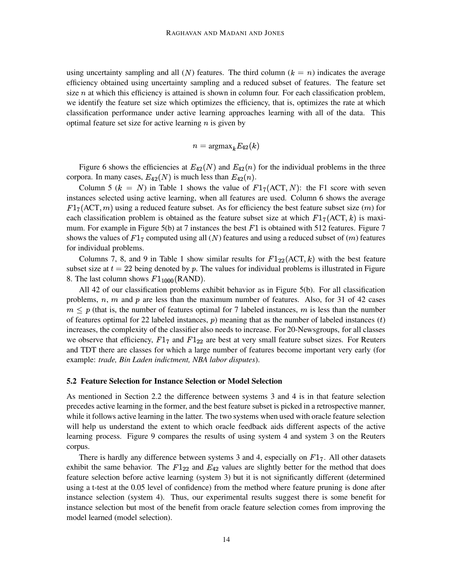using uncertainty sampling and all  $(N)$  features. The third column  $(k = n)$  indicates the average efficiency obtained using uncertainty sampling and a reduced subset of features. The feature set size  $n$  at which this efficiency is attained is shown in column four. For each classification problem, we identify the feature set size which optimizes the efficiency, that is, optimizes the rate at which classification performance under active learning approaches learning with all of the data. This optimal feature set size for active learning  $n$  is given by

 $n = \text{argmax}_{k} E_{42}(k)$ 

Figure 6 shows the efficiencies at  $E_{42}(N)$  and  $E_{42}(n)$  for the individual problems in the three corpora. In many cases,  $E_{42}(N)$  is much less than  $E_{42}(n)$ .

Column 5 ( $k = N$ ) in Table 1 shows the value of  $F1<sub>7</sub>(ACT, N)$ : the F1 score with seven instances selected using active learning, when all features are used. Column 6 shows the average  $F1_7(\text{ACT}, m)$  using a reduced feature subset. As for efficiency the best feature subset size (m) for each classification problem is obtained as the feature subset size at which  $F1_7(ACT, k)$  is maximum. For example in Figure 5(b) at 7 instances the best  $F1$  is obtained with 512 features. Figure 7 shows the values of  $F1_7$  computed using all (N) features and using a reduced subset of (m) features for individual problems.

Columns 7, 8, and 9 in Table 1 show similar results for  $F1_{22}(ACT, k)$  with the best feature subset size at  $t = 22$  being denoted by  $p$ . The values for individual problems is illustrated in Figure 8. The last column shows  $F1_{1000}$ (RAND).

All 42 of our classification problems exhibit behavior as in Figure 5(b). For all classification problems,  $n$ ,  $m$  and  $p$  are less than the maximum number of features. Also, for 31 of 42 cases  $m \leq p$  (that is, the number of features optimal for 7 labeled instances, m is less than the number of features optimal for 22 labeled instances,  $p$ ) meaning that as the number of labeled instances  $(t)$ increases, the complexity of the classifier also needs to increase. For 20-Newsgroups, for all classes we observe that efficiency,  $F1_7$  and  $F1_{22}$  are best at very small feature subset sizes. For Reuters and TDT there are classes for which a large number of features become important very early (for example: *trade, Bin Laden indictment, NBA labor disputes*).

#### **5.2 Feature Selection for Instance Selection or Model Selection**

As mentioned in Section 2.2 the difference between systems 3 and 4 is in that feature selection precedes active learning in the former, and the best feature subset is picked in a retrospective manner, while it follows active learning in the latter. The two systems when used with oracle feature selection will help us understand the extent to which oracle feedback aids different aspects of the active learning process. Figure 9 compares the results of using system 4 and system 3 on the Reuters corpus.

There is hardly any difference between systems 3 and 4, especially on  $F1_7$ . All other datasets exhibit the same behavior. The  $F1_{22}$  and  $E_{42}$  values are slightly better for the method that does feature selection before active learning (system 3) but it is not significantly different (determined using a t-test at the 0.05 level of confidence) from the method where feature pruning is done after instance selection (system 4). Thus, our experimental results suggest there is some benefit for instance selection but most of the benefit from oracle feature selection comes from improving the model learned (model selection).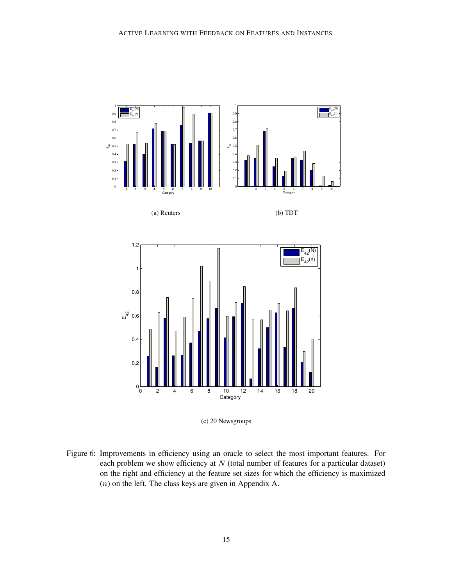

(c) 20 Newsgroups

Figure 6: Improvements in efficiency using an oracle to select the most important features. For each problem we show efficiency at  $N$  (total number of features for a particular dataset) on the right and efficiency at the feature set sizes for which the efficiency is maximized  $(n)$  on the left. The class keys are given in Appendix A.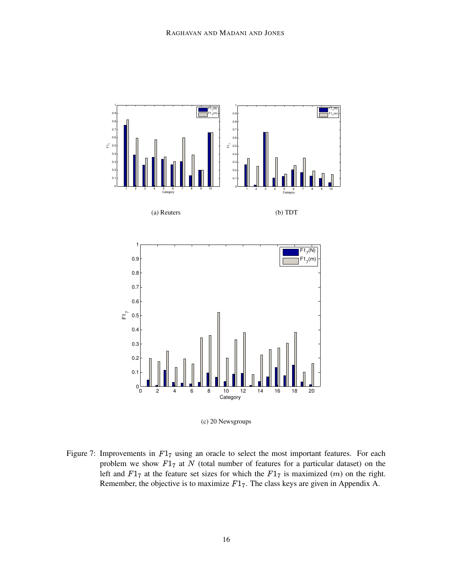

(c) 20 Newsgroups

Figure 7: Improvements in  $F1_7$  using an oracle to select the most important features. For each problem we show  $F1<sub>7</sub>$  at N (total number of features for a particular dataset) on the left and  $F1_7$  at the feature set sizes for which the  $F1_7$  is maximized  $(m)$  on the right. Remember, the objective is to maximize  $F1_7$ . The class keys are given in Appendix A.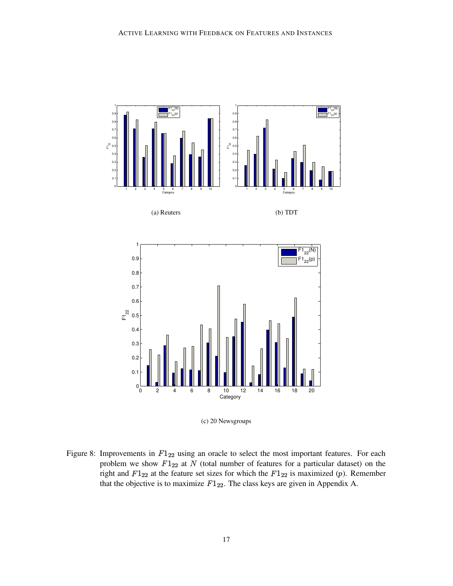

(c) 20 Newsgroups

Figure 8: Improvements in  $F1_{22}$  using an oracle to select the most important features. For each problem we show  $F1_{22}$  at N (total number of features for a particular dataset) on the right and  $F1_{22}$  at the feature set sizes for which the  $F1_{22}$  is maximized (p). Remember that the objective is to maximize  $F1_{22}$ . The class keys are given in Appendix A.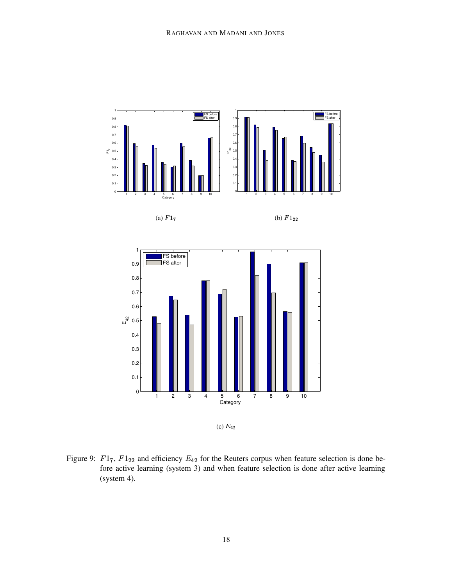



(c)  $E_{42}$ 

Figure 9:  $F1_7$ ,  $F1_{22}$  and efficiency  $E_{42}$  for the Reuters corpus when feature selection is done before active learning (system 3) and when feature selection is done after active learning (system 4).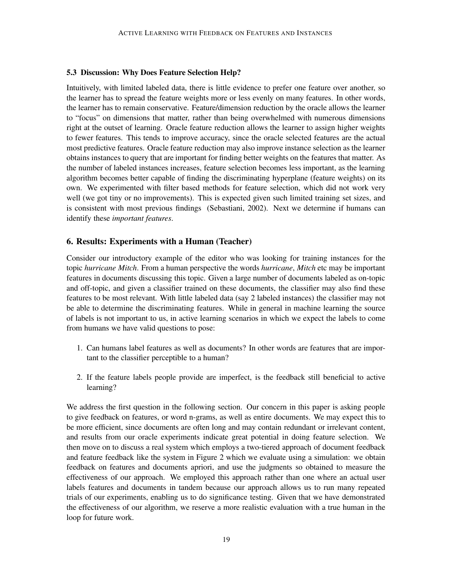#### **5.3 Discussion: Why Does Feature Selection Help?**

Intuitively, with limited labeled data, there is little evidence to prefer one feature over another, so the learner has to spread the feature weights more or less evenly on many features. In other words, the learner has to remain conservative. Feature/dimension reduction by the oracle allows the learner to "focus" on dimensions that matter, rather than being overwhelmed with numerous dimensions right at the outset of learning. Oracle feature reduction allows the learner to assign higher weights to fewer features. This tends to improve accuracy, since the oracle selected features are the actual most predictive features. Oracle feature reduction may also improve instance selection as the learner obtains instances to query that are important for finding better weights on the features that matter. As the number of labeled instances increases, feature selection becomes less important, as the learning algorithm becomes better capable of finding the discriminating hyperplane (feature weights) on its own. We experimented with filter based methods for feature selection, which did not work very well (we got tiny or no improvements). This is expected given such limited training set sizes, and is consistent with most previous findings (Sebastiani, 2002). Next we determine if humans can identify these *important features*.

#### **6. Results: Experiments with a Human (Teacher)**

Consider our introductory example of the editor who was looking for training instances for the topic *hurricane Mitch*. From a human perspective the words *hurricane*, *Mitch* etc may be important features in documents discussing this topic. Given a large number of documents labeled as on-topic and off-topic, and given a classifier trained on these documents, the classifier may also find these features to be most relevant. With little labeled data (say 2 labeled instances) the classifier may not be able to determine the discriminating features. While in general in machine learning the source of labels is not important to us, in active learning scenarios in which we expect the labels to come from humans we have valid questions to pose:

- 1. Can humans label features as well as documents? In other words are features that are important to the classifier perceptible to a human?
- 2. If the feature labels people provide are imperfect, is the feedback still beneficial to active learning?

We address the first question in the following section. Our concern in this paper is asking people to give feedback on features, or word n-grams, as well as entire documents. We may expect this to be more efficient, since documents are often long and may contain redundant or irrelevant content, and results from our oracle experiments indicate great potential in doing feature selection. We then move on to discuss a real system which employs a two-tiered approach of document feedback and feature feedback like the system in Figure 2 which we evaluate using a simulation: we obtain feedback on features and documents apriori, and use the judgments so obtained to measure the effectiveness of our approach. We employed this approach rather than one where an actual user labels features and documents in tandem because our approach allows us to run many repeated trials of our experiments, enabling us to do significance testing. Given that we have demonstrated the effectiveness of our algorithm, we reserve a more realistic evaluation with a true human in the loop for future work.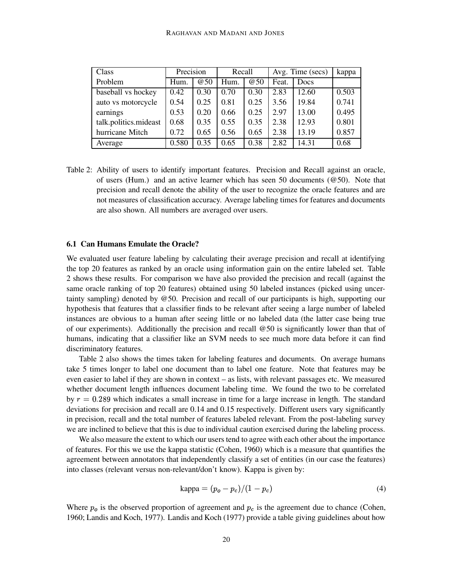| Class                 | Precision |            | Recall |            | Avg. Time (secs) |       | kappa |
|-----------------------|-----------|------------|--------|------------|------------------|-------|-------|
| Problem               | Hum.      | <b>@50</b> | Hum.   | <b>@50</b> | Feat.            | Docs  |       |
| baseball vs hockey    | 0.42      | 0.30       | 0.70   | 0.30       | 2.83             | 12.60 | 0.503 |
| auto vs motorcycle    | 0.54      | 0.25       | 0.81   | 0.25       | 3.56             | 19.84 | 0.741 |
| earnings              | 0.53      | 0.20       | 0.66   | 0.25       | 2.97             | 13.00 | 0.495 |
| talk.politics.mideast | 0.68      | 0.35       | 0.55   | 0.35       | 2.38             | 12.93 | 0.801 |
| hurricane Mitch       | 0.72      | 0.65       | 0.56   | 0.65       | 2.38             | 13.19 | 0.857 |
| Average               | 0.580     | 0.35       | 0.65   | 0.38       | 2.82             | 14.31 | 0.68  |

Table 2: Ability of users to identify important features. Precision and Recall against an oracle, of users (Hum.) and an active learner which has seen 50 documents ( $@50$ ). Note that precision and recall denote the ability of the user to recognize the oracle features and are not measures of classification accuracy. Average labeling times for features and documents are also shown. All numbers are averaged over users.

### **6.1 Can Humans Emulate the Oracle?**

We evaluated user feature labeling by calculating their average precision and recall at identifying the top 20 features as ranked by an oracle using information gain on the entire labeled set. Table 2 shows these results. For comparison we have also provided the precision and recall (against the same oracle ranking of top 20 features) obtained using 50 labeled instances (picked using uncertainty sampling) denoted by @50. Precision and recall of our participants is high, supporting our hypothesis that features that a classifier finds to be relevant after seeing a large number of labeled instances are obvious to a human after seeing little or no labeled data (the latter case being true of our experiments). Additionally the precision and recall @50 is significantly lower than that of humans, indicating that a classifier like an SVM needs to see much more data before it can find discriminatory features.

Table 2 also shows the times taken for labeling features and documents. On average humans take 5 times longer to label one document than to label one feature. Note that features may be even easier to label if they are shown in context – as lists, with relevant passages etc. We measured whether document length influences document labeling time. We found the two to be correlated by  $r = 0.289$  which indicates a small increase in time for a large increase in length. The standard deviations for precision and recall are 0.14 and 0.15 respectively. Different users vary significantly in precision, recall and the total number of features labeled relevant. From the post-labeling survey we are inclined to believe that this is due to individual caution exercised during the labeling process.

We also measure the extent to which our users tend to agree with each other about the importance of features. For this we use the kappa statistic (Cohen, 1960) which is a measure that quantifies the agreement between annotators that independently classify a set of entities (in our case the features) into classes (relevant versus non-relevant/don't know). Kappa is given by:

$$
kappa = (p_o - p_c)/(1 - p_c) \tag{4}
$$

Where  $p<sub>o</sub>$  is the observed proportion of agreement and  $p<sub>c</sub>$  is the agreement due to chance (Cohen, 1960; Landis and Koch, 1977). Landis and Koch (1977) provide a table giving guidelines about how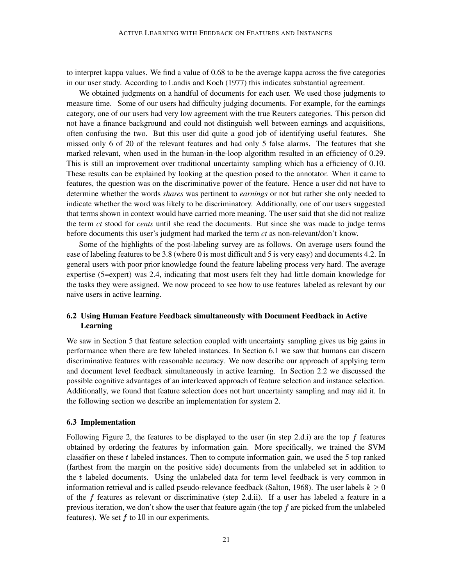to interpret kappa values. We find a value of 0.68 to be the average kappa across the five categories in our user study. According to Landis and Koch (1977) this indicates substantial agreement.

We obtained judgments on a handful of documents for each user. We used those judgments to measure time. Some of our users had difficulty judging documents. For example, for the earnings category, one of our users had very low agreement with the true Reuters categories. This person did not have a finance background and could not distinguish well between earnings and acquisitions, often confusing the two. But this user did quite a good job of identifying useful features. She missed only 6 of 20 of the relevant features and had only 5 false alarms. The features that she marked relevant, when used in the human-in-the-loop algorithm resulted in an efficiency of 0.29. This is still an improvement over traditional uncertainty sampling which has a efficiency of 0.10. These results can be explained by looking at the question posed to the annotator. When it came to features, the question was on the discriminative power of the feature. Hence a user did not have to determine whether the words *shares* was pertinent to *earnings* or not but rather she only needed to indicate whether the word was likely to be discriminatory. Additionally, one of our users suggested that terms shown in context would have carried more meaning. The user said that she did not realize the term *ct* stood for *cents* until she read the documents. But since she was made to judge terms before documents this user's judgment had marked the term *ct* as non-relevant/don't know.

Some of the highlights of the post-labeling survey are as follows. On average users found the ease of labeling features to be 3.8 (where 0 is most difficult and 5 is very easy) and documents 4.2. In general users with poor prior knowledge found the feature labeling process very hard. The average expertise (5=expert) was 2.4, indicating that most users felt they had little domain knowledge for the tasks they were assigned. We now proceed to see how to use features labeled as relevant by our naive users in active learning.

## **6.2 Using Human Feature Feedback simultaneously with Document Feedback in Active Learning**

We saw in Section 5 that feature selection coupled with uncertainty sampling gives us big gains in performance when there are few labeled instances. In Section 6.1 we saw that humans can discern discriminative features with reasonable accuracy. We now describe our approach of applying term and document level feedback simultaneously in active learning. In Section 2.2 we discussed the possible cognitive advantages of an interleaved approach of feature selection and instance selection. Additionally, we found that feature selection does not hurt uncertainty sampling and may aid it. In the following section we describe an implementation for system 2.

#### **6.3 Implementation**

Following Figure 2, the features to be displayed to the user (in step 2.d.i) are the top  $f$  features obtained by ordering the features by information gain. More specifically, we trained the SVM classifier on these  $t$  labeled instances. Then to compute information gain, we used the  $5$  top ranked (farthest from the margin on the positive side) documents from the unlabeled set in addition to the  $t$  labeled documents. Using the unlabeled data for term level feedback is very common in information retrieval and is called pseudo-relevance feedback (Salton, 1968). The user labels  $k \geq 0$ of the  $f$  features as relevant or discriminative (step 2.d.ii). If a user has labeled a feature in a previous iteration, we don't show the user that feature again (the top  $f$  are picked from the unlabeled features). We set  $f$  to 10 in our experiments.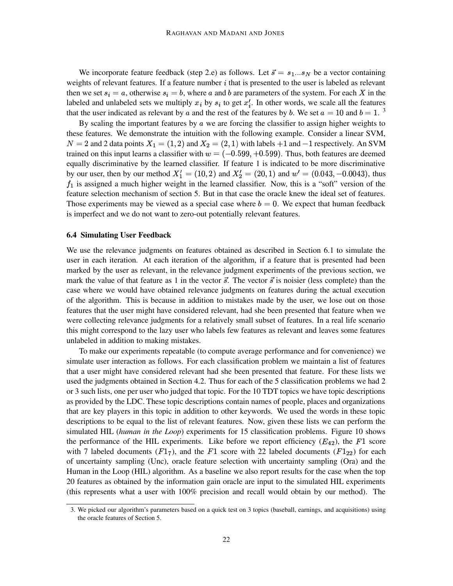We incorporate feature feedback (step 2.e) as follows. Let  $\vec{s} = s_1...s_N$  be a vector containing weights of relevant features. If a feature number  $i$  that is presented to the user is labeled as relevant then we set  $s_i = a$ , otherwise  $s_i = b$ , where a and b are parameters of the system. For each X in the labeled and unlabeled sets we multiply  $x_i$  by  $s_i$  to get  $x'_i$ . In other words, we scale all the features that the user indicated as relevant by a and the rest of the features by b. We set  $a = 10$  and  $b = 1$ . <sup>3</sup>

By scaling the important features by  $\alpha$  we are forcing the classifier to assign higher weights to these features. We demonstrate the intuition with the following example. Consider a linear SVM,  $N = 2$  and 2 data points  $X_1 = (1, 2)$  and  $X_2 = (2, 1)$  with labels  $+1$  and  $-1$  respectively. An SVM trained on this input learns a classifier with  $w = (-0.599, +0.599)$ . Thus, both features are deemed equally discriminative by the learned classifier. If feature 1 is indicated to be more discriminative by our user, then by our method  $X'_1 = (10, 2)$  and  $X'_2 = (20, 1)$  and  $w' = (0.043, -0.0043)$ , thus  $f_1$  is assigned a much higher weight in the learned classifier. Now, this is a "soft" version of the feature selection mechanism of section 5. But in that case the oracle knew the ideal set of features. Those experiments may be viewed as a special case where  $b = 0$ . We expect that human feedback is imperfect and we do not want to zero-out potentially relevant features.

#### **6.4 Simulating User Feedback**

We use the relevance judgments on features obtained as described in Section 6.1 to simulate the user in each iteration. At each iteration of the algorithm, if a feature that is presented had been marked by the user as relevant, in the relevance judgment experiments of the previous section, we mark the value of that feature as 1 in the vector  $\vec{s}$ . The vector  $\vec{s}$  is noisier (less complete) than the case where we would have obtained relevance judgments on features during the actual execution of the algorithm. This is because in addition to mistakes made by the user, we lose out on those features that the user might have considered relevant, had she been presented that feature when we were collecting relevance judgments for a relatively small subset of features. In a real life scenario this might correspond to the lazy user who labels few features as relevant and leaves some features unlabeled in addition to making mistakes.

To make our experiments repeatable (to compute average performance and for convenience) we simulate user interaction as follows. For each classification problem we maintain a list of features that a user might have considered relevant had she been presented that feature. For these lists we used the judgments obtained in Section 4.2. Thus for each of the 5 classification problems we had 2 or 3 such lists, one per user who judged that topic. For the 10 TDT topics we have topic descriptions as provided by the LDC. These topic descriptions contain names of people, places and organizations that are key players in this topic in addition to other keywords. We used the words in these topic descriptions to be equal to the list of relevant features. Now, given these lists we can perform the simulated HIL (*human in the Loop*) experiments for 15 classification problems. Figure 10 shows the performance of the HIL experiments. Like before we report efficiency  $(E_{42})$ , the F1 score with 7 labeled documents  $(F1_7)$ , and the F1 score with 22 labeled documents  $(F1_{22})$  for each of uncertainty sampling (Unc), oracle feature selection with uncertainty sampling (Ora) and the Human in the Loop (HIL) algorithm. As a baseline we also report results for the case when the top 20 features as obtained by the information gain oracle are input to the simulated HIL experiments (this represents what a user with 100% precision and recall would obtain by our method). The

<sup>3.</sup> We picked our algorithm's parameters based on a quick test on 3 topics (baseball, earnings, and acquisitions) using the oracle features of Section 5.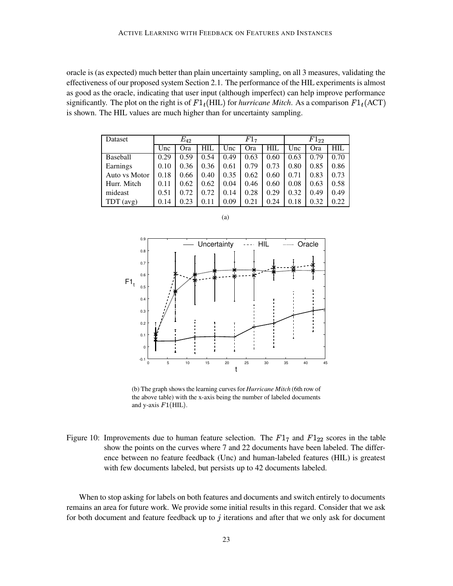oracle is (as expected) much better than plain uncertainty sampling, on all 3 measures, validating the effectiveness of our proposed system Section 2.1. The performance of the HIL experiments is almost as good as the oracle, indicating that user input (although imperfect) can help improve performance significantly. The plot on the right is of  $F1_t(HIL)$  for *hurricane Mitch*. As a comparison  $F1_t(ACT)$ is shown. The HIL values are much higher than for uncertainty sampling.

| Dataset         | $E_{\rm 42}$ |      |      | $F1_{7}$ |      |      | $F1_{22}$ |      |      |
|-----------------|--------------|------|------|----------|------|------|-----------|------|------|
|                 | Unc          | Ora  | HIL  | Unc      | Ora  | HIL  | Unc       | Ora  | HIL  |
| <b>Baseball</b> | 0.29         | 0.59 | 0.54 | 0.49     | 0.63 | 0.60 | 0.63      | 0.79 | 0.70 |
| Earnings        | 0.10         | 0.36 | 0.36 | 0.61     | 0.79 | 0.73 | 0.80      | 0.85 | 0.86 |
| Auto vs Motor   | 0.18         | 0.66 | 0.40 | 0.35     | 0.62 | 0.60 | 0.71      | 0.83 | 0.73 |
| Hurr. Mitch     | 0.11         | 0.62 | 0.62 | 0.04     | 0.46 | 0.60 | 0.08      | 0.63 | 0.58 |
| mideast         | 0.51         | 0.72 | 0.72 | 0.14     | 0.28 | 0.29 | 0.32      | 0.49 | 0.49 |
| $TDT$ (avg)     | 0.14         | 0.23 | 0.11 | 0.09     | 0.21 | 0.24 | 0.18      | 0.32 | 0.22 |



(b) The graph shows the learning curves for *Hurricane Mitch* (6th row of the above table) with the x-axis being the number of labeled documents and y-axis  $F1(HIL)$ .

Figure 10: Improvements due to human feature selection. The  $F1<sub>7</sub>$  and  $F1<sub>22</sub>$  scores in the table show the points on the curves where 7 and 22 documents have been labeled. The difference between no feature feedback (Unc) and human-labeled features (HIL) is greatest with few documents labeled, but persists up to 42 documents labeled.

When to stop asking for labels on both features and documents and switch entirely to documents remains an area for future work. We provide some initial results in this regard. Consider that we ask for both document and feature feedback up to  $\dot{\gamma}$  iterations and after that we only ask for document

(a)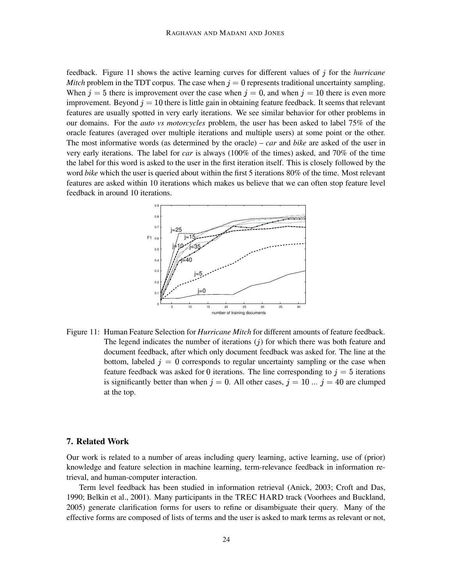feedback. Figure 11 shows the active learning curves for different values of j for the *hurricane Mitch* problem in the TDT corpus. The case when  $j = 0$  represents traditional uncertainty sampling. When  $j = 5$  there is improvement over the case when  $j = 0$ , and when  $j = 10$  there is even more improvement. Beyond  $j = 10$  there is little gain in obtaining feature feedback. It seems that relevant features are usually spotted in very early iterations. We see similar behavior for other problems in our domains. For the *auto vs motorcycles* problem, the user has been asked to label 75% of the oracle features (averaged over multiple iterations and multiple users) at some point or the other. The most informative words (as determined by the oracle) – *car* and *bike* are asked of the user in very early iterations. The label for *car* is always (100% of the times) asked, and 70% of the time the label for this word is asked to the user in the first iteration itself. This is closely followed by the word *bike* which the user is queried about within the first 5 iterations 80% of the time. Most relevant features are asked within 10 iterations which makes us believe that we can often stop feature level feedback in around 10 iterations.



Figure 11: Human Feature Selection for *Hurricane Mitch* for different amounts of feature feedback. The legend indicates the number of iterations  $(j)$  for which there was both feature and document feedback, after which only document feedback was asked for. The line at the bottom, labeled  $j = 0$  corresponds to regular uncertainty sampling or the case when feature feedback was asked for 0 iterations. The line corresponding to  $j = 5$  iterations is significantly better than when  $j = 0$ . All other cases,  $j = 10$  ...  $j = 40$  are clumped at the top.

#### **7. Related Work**

Our work is related to a number of areas including query learning, active learning, use of (prior) knowledge and feature selection in machine learning, term-relevance feedback in information retrieval, and human-computer interaction.

Term level feedback has been studied in information retrieval (Anick, 2003; Croft and Das, 1990; Belkin et al., 2001). Many participants in the TREC HARD track (Voorhees and Buckland, 2005) generate clarification forms for users to refine or disambiguate their query. Many of the effective forms are composed of lists of terms and the user is asked to mark terms as relevant or not,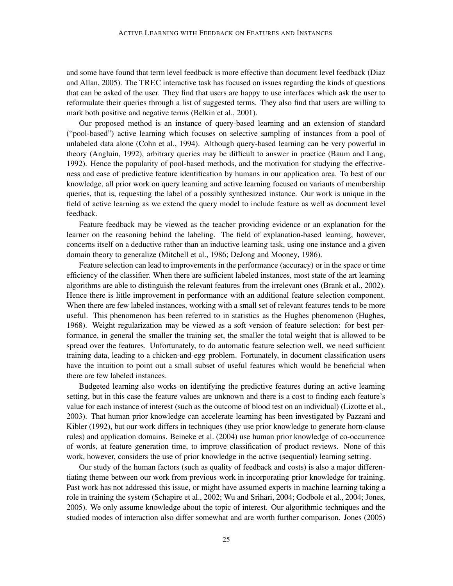and some have found that term level feedback is more effective than document level feedback (Diaz and Allan, 2005). The TREC interactive task has focused on issues regarding the kinds of questions that can be asked of the user. They find that users are happy to use interfaces which ask the user to reformulate their queries through a list of suggested terms. They also find that users are willing to mark both positive and negative terms (Belkin et al., 2001).

Our proposed method is an instance of query-based learning and an extension of standard ("pool-based") active learning which focuses on selective sampling of instances from a pool of unlabeled data alone (Cohn et al., 1994). Although query-based learning can be very powerful in theory (Angluin, 1992), arbitrary queries may be difficult to answer in practice (Baum and Lang, 1992). Hence the popularity of pool-based methods, and the motivation for studying the effectiveness and ease of predictive feature identification by humans in our application area. To best of our knowledge, all prior work on query learning and active learning focused on variants of membership queries, that is, requesting the label of a possibly synthesized instance. Our work is unique in the field of active learning as we extend the query model to include feature as well as document level feedback.

Feature feedback may be viewed as the teacher providing evidence or an explanation for the learner on the reasoning behind the labeling. The field of explanation-based learning, however, concerns itself on a deductive rather than an inductive learning task, using one instance and a given domain theory to generalize (Mitchell et al., 1986; DeJong and Mooney, 1986).

Feature selection can lead to improvements in the performance (accuracy) or in the space or time efficiency of the classifier. When there are sufficient labeled instances, most state of the art learning algorithms are able to distinguish the relevant features from the irrelevant ones (Brank et al., 2002). Hence there is little improvement in performance with an additional feature selection component. When there are few labeled instances, working with a small set of relevant features tends to be more useful. This phenomenon has been referred to in statistics as the Hughes phenomenon (Hughes, 1968). Weight regularization may be viewed as a soft version of feature selection: for best performance, in general the smaller the training set, the smaller the total weight that is allowed to be spread over the features. Unfortunately, to do automatic feature selection well, we need sufficient training data, leading to a chicken-and-egg problem. Fortunately, in document classification users have the intuition to point out a small subset of useful features which would be beneficial when there are few labeled instances.

Budgeted learning also works on identifying the predictive features during an active learning setting, but in this case the feature values are unknown and there is a cost to finding each feature's value for each instance of interest (such as the outcome of blood test on an individual) (Lizotte et al., 2003). That human prior knowledge can accelerate learning has been investigated by Pazzani and Kibler (1992), but our work differs in techniques (they use prior knowledge to generate horn-clause rules) and application domains. Beineke et al. (2004) use human prior knowledge of co-occurrence of words, at feature generation time, to improve classification of product reviews. None of this work, however, considers the use of prior knowledge in the active (sequential) learning setting.

Our study of the human factors (such as quality of feedback and costs) is also a major differentiating theme between our work from previous work in incorporating prior knowledge for training. Past work has not addressed this issue, or might have assumed experts in machine learning taking a role in training the system (Schapire et al., 2002; Wu and Srihari, 2004; Godbole et al., 2004; Jones, 2005). We only assume knowledge about the topic of interest. Our algorithmic techniques and the studied modes of interaction also differ somewhat and are worth further comparison. Jones (2005)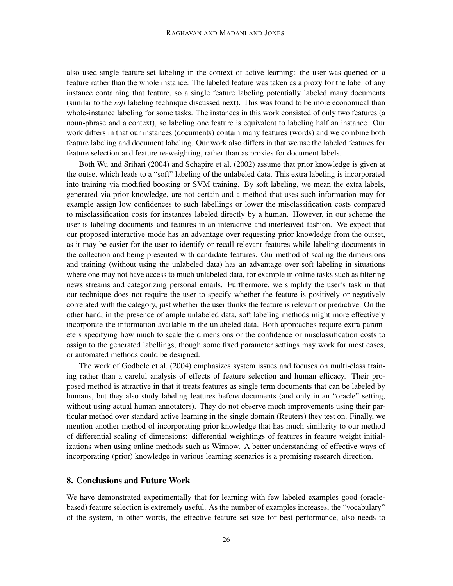also used single feature-set labeling in the context of active learning: the user was queried on a feature rather than the whole instance. The labeled feature was taken as a proxy for the label of any instance containing that feature, so a single feature labeling potentially labeled many documents (similar to the *soft* labeling technique discussed next). This was found to be more economical than whole-instance labeling for some tasks. The instances in this work consisted of only two features (a noun-phrase and a context), so labeling one feature is equivalent to labeling half an instance. Our work differs in that our instances (documents) contain many features (words) and we combine both feature labeling and document labeling. Our work also differs in that we use the labeled features for feature selection and feature re-weighting, rather than as proxies for document labels.

Both Wu and Srihari (2004) and Schapire et al. (2002) assume that prior knowledge is given at the outset which leads to a "soft" labeling of the unlabeled data. This extra labeling is incorporated into training via modified boosting or SVM training. By soft labeling, we mean the extra labels, generated via prior knowledge, are not certain and a method that uses such information may for example assign low confidences to such labellings or lower the misclassification costs compared to misclassification costs for instances labeled directly by a human. However, in our scheme the user is labeling documents and features in an interactive and interleaved fashion. We expect that our proposed interactive mode has an advantage over requesting prior knowledge from the outset, as it may be easier for the user to identify or recall relevant features while labeling documents in the collection and being presented with candidate features. Our method of scaling the dimensions and training (without using the unlabeled data) has an advantage over soft labeling in situations where one may not have access to much unlabeled data, for example in online tasks such as filtering news streams and categorizing personal emails. Furthermore, we simplify the user's task in that our technique does not require the user to specify whether the feature is positively or negatively correlated with the category, just whether the user thinks the feature is relevant or predictive. On the other hand, in the presence of ample unlabeled data, soft labeling methods might more effectively incorporate the information available in the unlabeled data. Both approaches require extra parameters specifying how much to scale the dimensions or the confidence or misclassification costs to assign to the generated labellings, though some fixed parameter settings may work for most cases, or automated methods could be designed.

The work of Godbole et al. (2004) emphasizes system issues and focuses on multi-class training rather than a careful analysis of effects of feature selection and human efficacy. Their proposed method is attractive in that it treats features as single term documents that can be labeled by humans, but they also study labeling features before documents (and only in an "oracle" setting, without using actual human annotators). They do not observe much improvements using their particular method over standard active learning in the single domain (Reuters) they test on. Finally, we mention another method of incorporating prior knowledge that has much similarity to our method of differential scaling of dimensions: differential weightings of features in feature weight initializations when using online methods such as Winnow. A better understanding of effective ways of incorporating (prior) knowledge in various learning scenarios is a promising research direction.

## **8. Conclusions and Future Work**

We have demonstrated experimentally that for learning with few labeled examples good (oraclebased) feature selection is extremely useful. As the number of examples increases, the "vocabulary" of the system, in other words, the effective feature set size for best performance, also needs to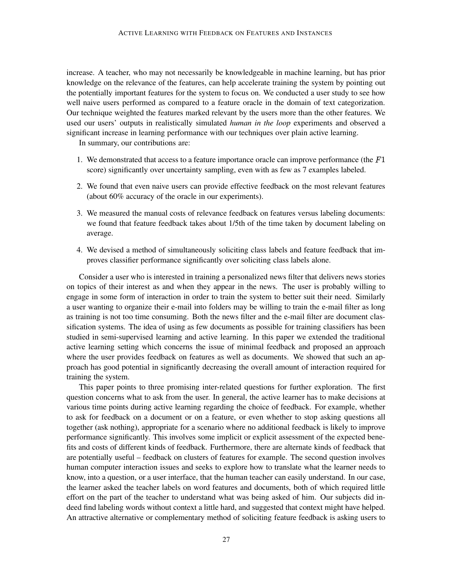increase. A teacher, who may not necessarily be knowledgeable in machine learning, but has prior knowledge on the relevance of the features, can help accelerate training the system by pointing out the potentially important features for the system to focus on. We conducted a user study to see how well naive users performed as compared to a feature oracle in the domain of text categorization. Our technique weighted the features marked relevant by the users more than the other features. We used our users' outputs in realistically simulated *human in the loop* experiments and observed a significant increase in learning performance with our techniques over plain active learning.

In summary, our contributions are:

- 1. We demonstrated that access to a feature importance oracle can improve performance (the  $F1$ score) significantly over uncertainty sampling, even with as few as 7 examples labeled.
- 2. We found that even naive users can provide effective feedback on the most relevant features (about 60% accuracy of the oracle in our experiments).
- 3. We measured the manual costs of relevance feedback on features versus labeling documents: we found that feature feedback takes about 1/5th of the time taken by document labeling on average.
- 4. We devised a method of simultaneously soliciting class labels and feature feedback that improves classifier performance significantly over soliciting class labels alone.

Consider a user who is interested in training a personalized news filter that delivers news stories on topics of their interest as and when they appear in the news. The user is probably willing to engage in some form of interaction in order to train the system to better suit their need. Similarly a user wanting to organize their e-mail into folders may be willing to train the e-mail filter as long as training is not too time consuming. Both the news filter and the e-mail filter are document classification systems. The idea of using as few documents as possible for training classifiers has been studied in semi-supervised learning and active learning. In this paper we extended the traditional active learning setting which concerns the issue of minimal feedback and proposed an approach where the user provides feedback on features as well as documents. We showed that such an approach has good potential in significantly decreasing the overall amount of interaction required for training the system.

This paper points to three promising inter-related questions for further exploration. The first question concerns what to ask from the user. In general, the active learner has to make decisions at various time points during active learning regarding the choice of feedback. For example, whether to ask for feedback on a document or on a feature, or even whether to stop asking questions all together (ask nothing), appropriate for a scenario where no additional feedback is likely to improve performance significantly. This involves some implicit or explicit assessment of the expected benefits and costs of different kinds of feedback. Furthermore, there are alternate kinds of feedback that are potentially useful – feedback on clusters of features for example. The second question involves human computer interaction issues and seeks to explore how to translate what the learner needs to know, into a question, or a user interface, that the human teacher can easily understand. In our case, the learner asked the teacher labels on word features and documents, both of which required little effort on the part of the teacher to understand what was being asked of him. Our subjects did indeed find labeling words without context a little hard, and suggested that context might have helped. An attractive alternative or complementary method of soliciting feature feedback is asking users to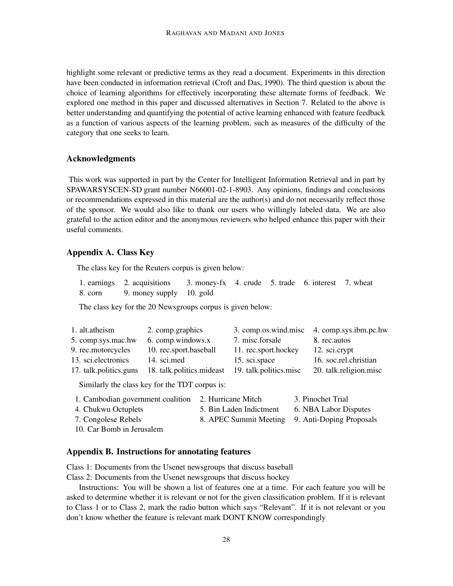highlight some relevant or predictive terms as they read a document. Experiments in this direction have been conducted in information retrieval (Croft and Das, 1990). The third question is about the choice of learning algorithms for effectively incorporating these alternate forms of feedback. We explored one method in this paper and discussed alternatives in Section 7. Related to the above is better understanding and quantifying the potential of active learning enhanced with feature feedback as a function of various aspects of the learning problem, such as measures of the difficulty of the category that one seeks to learn.

## **Acknowledgments**

This work was supported in part by the Center for Intelligent Information Retrieval and in part by SPAWARSYSCEN-SD grant number N66001-02-1-8903. Any opinions, findings and conclusions or recommendations expressed in this material are the author(s) and do not necessarily reflect those of the sponsor. We would also like to thank our users who willingly labeled data. We are also grateful to the action editor and the anonymous reviewers who helped enhance this paper with their useful comments.

## **Appendix A. Class Key**

The class key for the Reuters corpus is given below:

| 1. earnings 2. acquisitions 3. money-fx 4. crude 5. trade 6. interest 7. wheat |  |  |  |
|--------------------------------------------------------------------------------|--|--|--|
| 8. corn 9. money supply 10. gold                                               |  |  |  |

The class key for the 20 Newsgroups corpus is given below:

| 1. alt.atheism         | 2. comp.graphics                               | 3. comp.os.wind.misc 4. comp.sys.ibm.pc.hw |                        |
|------------------------|------------------------------------------------|--------------------------------------------|------------------------|
| 5. comp.sys.mac.hw     | 6. comp.windows.x                              | 7. misc.forsale                            | 8. rec.autos           |
| 9. rec.motorcycles     | 10. rec.sport.baseball                         | 11. rec.sport.hockey                       | 12. sci.crypt          |
| 13. sci. electronics   | 14. sci.med                                    | 15. sci.space                              | 16. soc.rel.christian  |
| 17. talk.politics.guns | 18. talk.politics.mideast                      | 19. talk.politics.misc                     | 20. talk.religion.misc |
|                        | Similarly the class key for the TDT corpus is: |                                            |                        |

| 1. Cambodian government coalition 2. Hurricane Mitch |                                                 | 3. Pinochet Trial     |
|------------------------------------------------------|-------------------------------------------------|-----------------------|
| 4. Chukwu Octuplets                                  | 5. Bin Laden Indictment                         | 6. NBA Labor Disputes |
| 7. Congolese Rebels                                  | 8. APEC Summit Meeting 9. Anti-Doping Proposals |                       |
| 10. Car Bomb in Jerusalem                            |                                                 |                       |

# **Appendix B. Instructions for annotating features**

Class 1: Documents from the Usenet newsgroups that discuss baseball

Class 2: Documents from the Usenet newsgroups that discuss hockey

Instructions: You will be shown a list of features one at a time. For each feature you will be asked to determine whether it is relevant or not for the given classification problem. If it is relevant to Class 1 or to Class 2, mark the radio button which says "Relevant". If it is not relevant or you don't know whether the feature is relevant mark DONT KNOW correspondingly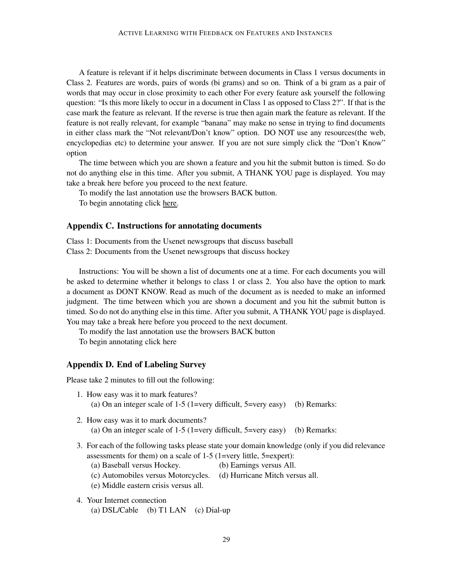A feature is relevant if it helps discriminate between documents in Class 1 versus documents in Class 2. Features are words, pairs of words (bi grams) and so on. Think of a bi gram as a pair of words that may occur in close proximity to each other For every feature ask yourself the following question: "Is this more likely to occur in a document in Class 1 as opposed to Class 2?". If that is the case mark the feature as relevant. If the reverse is true then again mark the feature as relevant. If the feature is not really relevant, for example "banana" may make no sense in trying to find documents in either class mark the "Not relevant/Don't know" option. DO NOT use any resources(the web, encyclopedias etc) to determine your answer. If you are not sure simply click the "Don't Know" option

The time between which you are shown a feature and you hit the submit button is timed. So do not do anything else in this time. After you submit, A THANK YOU page is displayed. You may take a break here before you proceed to the next feature.

To modify the last annotation use the browsers BACK button.

To begin annotating click here.

#### **Appendix C. Instructions for annotating documents**

Class 1: Documents from the Usenet newsgroups that discuss baseball Class 2: Documents from the Usenet newsgroups that discuss hockey

Instructions: You will be shown a list of documents one at a time. For each documents you will be asked to determine whether it belongs to class 1 or class 2. You also have the option to mark a document as DONT KNOW. Read as much of the document as is needed to make an informed judgment. The time between which you are shown a document and you hit the submit button is timed. So do not do anything else in this time. After you submit, A THANK YOU page is displayed. You may take a break here before you proceed to the next document.

To modify the last annotation use the browsers BACK button

To begin annotating click here

#### **Appendix D. End of Labeling Survey**

Please take 2 minutes to fill out the following:

- 1. How easy was it to mark features? (a) On an integer scale of 1-5 (1=very difficult, 5=very easy) (b) Remarks:
- 2. How easy was it to mark documents? (a) On an integer scale of 1-5 (1=very difficult,  $5=very$  easy) (b) Remarks:
- 3. For each of the following tasks please state your domain knowledge (only if you did relevance assessments for them) on a scale of 1-5 (1=very little, 5=expert):
	- (a) Baseball versus Hockey. (b) Earnings versus All.
	- (c) Automobiles versus Motorcycles. (d) Hurricane Mitch versus all.
	- (e) Middle eastern crisis versus all.
- 4. Your Internet connection (a) DSL/Cable (b) T1 LAN (c) Dial-up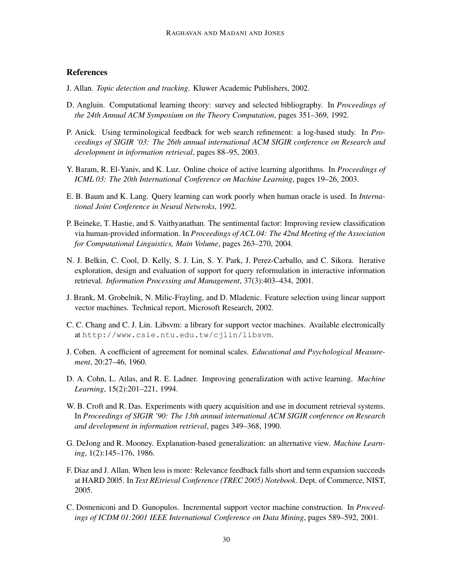## **References**

- J. Allan. *Topic detection and tracking*. Kluwer Academic Publishers, 2002.
- D. Angluin. Computational learning theory: survey and selected bibliography. In *Proceedings of the 24th Annual ACM Symposium on the Theory Computation*, pages 351–369, 1992.
- P. Anick. Using terminological feedback for web search refinement: a log-based study. In *Proceedings of SIGIR '03: The 26th annual international ACM SIGIR conference on Research and development in information retrieval*, pages 88–95, 2003.
- Y. Baram, R. El-Yaniv, and K. Luz. Online choice of active learning algorithms. In *Proceedings of ICML 03: The 20th International Conference on Machine Learning*, pages 19–26, 2003.
- E. B. Baum and K. Lang. Query learning can work poorly when human oracle is used. In *International Joint Conference in Neural Netwroks*, 1992.
- P. Beineke, T. Hastie, and S. Vaithyanathan. The sentimental factor: Improving review classification via human-provided information. In *Proceedings of ACL 04: The 42nd Meeting of the Association for Computational Linguistics, Main Volume*, pages 263–270, 2004.
- N. J. Belkin, C. Cool, D. Kelly, S. J. Lin, S. Y. Park, J. Perez-Carballo, and C. Sikora. Iterative exploration, design and evaluation of support for query reformulation in interactive information retrieval. *Information Processing and Management*, 37(3):403–434, 2001.
- J. Brank, M. Grobelnik, N. Milic-Frayling, and D. Mladenic. Feature selection using linear support vector machines. Technical report, Microsoft Research, 2002.
- C. C. Chang and C. J. Lin. Libsvm: a library for support vector machines. Available electronically at http://www.csie.ntu.edu.tw/cjlin/libsvm.
- J. Cohen. A coefficient of agreement for nominal scales. *Educational and Psychological Measurement*, 20:27–46, 1960.
- D. A. Cohn, L. Atlas, and R. E. Ladner. Improving generalization with active learning. *Machine Learning*, 15(2):201–221, 1994.
- W. B. Croft and R. Das. Experiments with query acquisition and use in document retrieval systems. In *Proceedings of SIGIR '90: The 13th annual international ACM SIGIR conference on Research and development in information retrieval*, pages 349–368, 1990.
- G. DeJong and R. Mooney. Explanation-based generalization: an alternative view. *Machine Learning*, 1(2):145–176, 1986.
- F. Diaz and J. Allan. When less is more: Relevance feedback falls short and term expansion succeeds at HARD 2005. In *Text REtrieval Conference (TREC 2005) Notebook*. Dept. of Commerce, NIST, 2005.
- C. Domeniconi and D. Gunopulos. Incremental support vector machine construction. In *Proceedings of ICDM 01:2001 IEEE International Conference on Data Mining*, pages 589–592, 2001.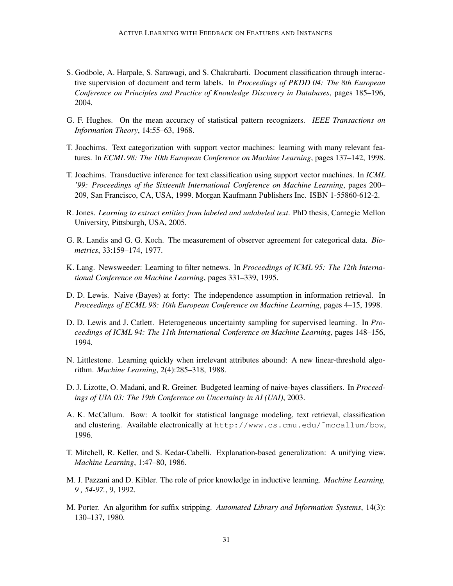- S. Godbole, A. Harpale, S. Sarawagi, and S. Chakrabarti. Document classification through interactive supervision of document and term labels. In *Proceedings of PKDD 04: The 8th European Conference on Principles and Practice of Knowledge Discovery in Databases*, pages 185–196, 2004.
- G. F. Hughes. On the mean accuracy of statistical pattern recognizers. *IEEE Transactions on Information Theory*, 14:55–63, 1968.
- T. Joachims. Text categorization with support vector machines: learning with many relevant features. In *ECML 98: The 10th European Conference on Machine Learning*, pages 137–142, 1998.
- T. Joachims. Transductive inference for text classification using support vector machines. In *ICML '99: Proceedings of the Sixteenth International Conference on Machine Learning*, pages 200– 209, San Francisco, CA, USA, 1999. Morgan Kaufmann Publishers Inc. ISBN 1-55860-612-2.
- R. Jones. *Learning to extract entities from labeled and unlabeled text*. PhD thesis, Carnegie Mellon University, Pittsburgh, USA, 2005.
- G. R. Landis and G. G. Koch. The measurement of observer agreement for categorical data. *Biometrics*, 33:159–174, 1977.
- K. Lang. Newsweeder: Learning to filter netnews. In *Proceedings of ICML 95: The 12th International Conference on Machine Learning*, pages 331–339, 1995.
- D. D. Lewis. Naive (Bayes) at forty: The independence assumption in information retrieval. In *Proceedings of ECML 98: 10th European Conference on Machine Learning*, pages 4–15, 1998.
- D. D. Lewis and J. Catlett. Heterogeneous uncertainty sampling for supervised learning. In *Proceedings of ICML 94: The 11th International Conference on Machine Learning*, pages 148–156, 1994.
- N. Littlestone. Learning quickly when irrelevant attributes abound: A new linear-threshold algorithm. *Machine Learning*, 2(4):285–318, 1988.
- D. J. Lizotte, O. Madani, and R. Greiner. Budgeted learning of naive-bayes classifiers. In *Proceedings of UIA 03: The 19th Conference on Uncertainty in AI (UAI)*, 2003.
- A. K. McCallum. Bow: A toolkit for statistical language modeling, text retrieval, classification and clustering. Available electronically at http://www.cs.cmu.edu/˜mccallum/bow, 1996.
- T. Mitchell, R. Keller, and S. Kedar-Cabelli. Explanation-based generalization: A unifying view. *Machine Learning*, 1:47–80, 1986.
- M. J. Pazzani and D. Kibler. The role of prior knowledge in inductive learning. *Machine Learning, 9 , 54-97.*, 9, 1992.
- M. Porter. An algorithm for suffix stripping. *Automated Library and Information Systems*, 14(3): 130–137, 1980.